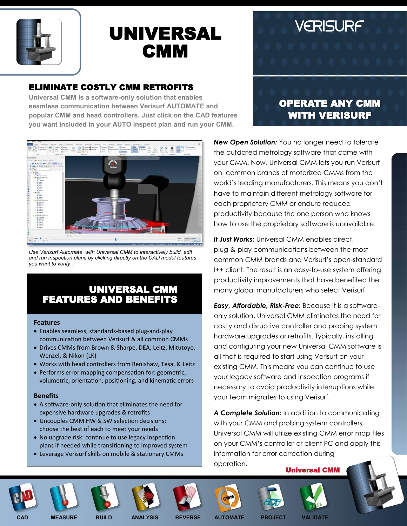

# UNIVERSAL **CMM**

## ELIMINATE COSTLY CMM RETROFITS

**Universal CMM is a software-only solution that enables seamless communication between Verisurf AUTOMATE and popular CMM and head controllers. Just click on the CAD features you want included in your AUTO inspect plan and run your CMM.**



*Use Verisurf Automate with Universal CMM to interactively build, edit and run inspection plans by clicking directly on the CAD model features you want to verify .*

## UNIVERSAL CMM FEATURES AND BENEFITS

#### **Features**

- Enables seamless, standards-based plug-and-play communication between Verisurf & all common CMMs
- Drives CMMs from Brown & Sharpe, DEA, Leitz, Mitutoyo, Wenzel, & Nikon (LK)
- Works with head controllers from Renishaw, Tesa, & Leitz
- Performs error mapping compensation for: geometric, volumetric, orientation, positioning, and kinematic errors

#### **Benefits**

- A software-only solution that eliminates the need for expensive hardware upgrades & retrofits
- Uncouples CMM HW & SW selection decisions; choose the best of each to meet your needs
- No upgrade risk: continue to use legacy inspection plans if needed while transitioning to improved system
- Leverage Verisurf skills on mobile & stationary CMMs

## OPERATE ANY CMM WITH VERISURF

VERISURF

*New Open Solution:* You no longer need to tolerate the outdated metrology software that came with your CMM. Now, Universal CMM lets you run Verisurf on common brands of motorized CMMs from the world's leading manufacturers. This means you don't have to maintain different metrology software for each proprietary CMM or endure reduced productivity because the one person who knows how to use the proprietary software is unavailable.

*It Just Works:* Universal CMM enables direct, plug-&-play communications between the most common CMM brands and Verisurf's open-standard I++ client. The result is an easy-to-use system offering productivity improvements that have benefited the many global manufacturers who select Verisurf.

*Easy, Affordable, Risk-Free:* Because it is a softwareonly solution, Universal CMM eliminates the need for costly and disruptive controller and probing system hardware upgrades or retrofits. Typically, installing and configuring your new Universal CMM software is all that is required to start using Verisurf on your existing CMM. This means you can continue to use your legacy software and inspection programs if necessary to avoid productivity interruptions while your team migrates to using Verisurf.

*A Complete Solution:* In addition to communicating with your CMM and probing system controllers, Universal CMM will utilize existing CMM error map files on your CMM's controller or client PC and apply this information for error correction during operation.

Universal CMM

















**CAD MEASURE BUILD ANALYSIS REVERSE AUTOMATE PROJECT VALIDATE**